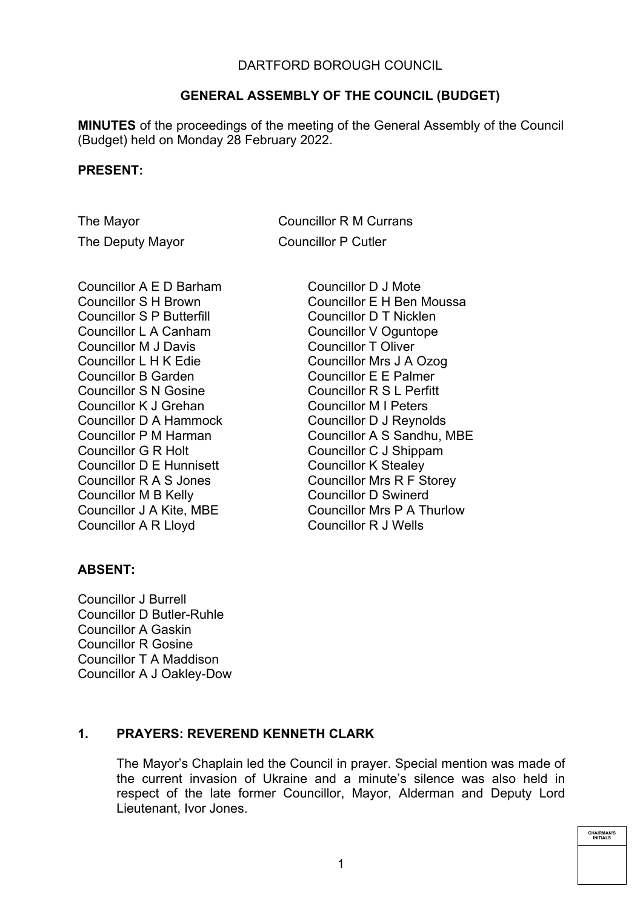### DARTFORD BOROUGH COUNCIL

## **GENERAL ASSEMBLY OF THE COUNCIL (BUDGET)**

**MINUTES** of the proceedings of the meeting of the General Assembly of the Council (Budget) held on Monday 28 February 2022.

#### **PRESENT:**

The Mayor **Councillor R M Currans** The Deputy Mayor Councillor P Cutler

Councillor A E D Barham Councillor S H Brown Councillor S P Butterfill Councillor L A Canham Councillor M J Davis Councillor L H K Edie Councillor B Garden Councillor S N Gosine Councillor K J Grehan Councillor D A Hammock Councillor P M Harman Councillor G R Holt Councillor D E Hunnisett Councillor R A S Jones Councillor M B Kelly Councillor J A Kite, MBE Councillor A R Lloyd

Councillor D J Mote Councillor E H Ben Moussa Councillor D T Nicklen Councillor V Oguntope Councillor T Oliver Councillor Mrs J A Ozog Councillor E E Palmer Councillor R S L Perfitt Councillor M I Peters Councillor D J Reynolds Councillor A S Sandhu, MBE Councillor C J Shippam Councillor K Stealey Councillor Mrs R F Storey Councillor D Swinerd Councillor Mrs P A Thurlow Councillor R J Wells

### **ABSENT:**

Councillor J Burrell Councillor D Butler-Ruhle Councillor A Gaskin Councillor R Gosine Councillor T A Maddison Councillor A J Oakley-Dow

### **1. PRAYERS: REVEREND KENNETH CLARK**

The Mayor's Chaplain led the Council in prayer. Special mention was made of the current invasion of Ukraine and a minute's silence was also held in respect of the late former Councillor, Mayor, Alderman and Deputy Lord Lieutenant, Ivor Jones.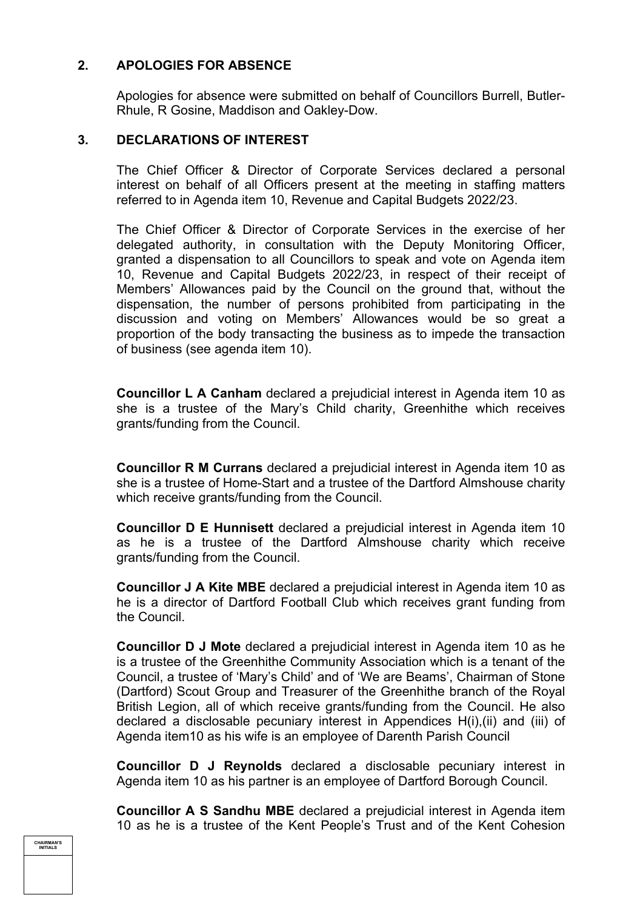## **2. APOLOGIES FOR ABSENCE**

Apologies for absence were submitted on behalf of Councillors Burrell, Butler-Rhule, R Gosine, Maddison and Oakley-Dow.

#### **3. DECLARATIONS OF INTEREST**

The Chief Officer & Director of Corporate Services declared a personal interest on behalf of all Officers present at the meeting in staffing matters referred to in Agenda item 10, Revenue and Capital Budgets 2022/23.

The Chief Officer & Director of Corporate Services in the exercise of her delegated authority, in consultation with the Deputy Monitoring Officer, granted a dispensation to all Councillors to speak and vote on Agenda item 10, Revenue and Capital Budgets 2022/23, in respect of their receipt of Members' Allowances paid by the Council on the ground that, without the dispensation, the number of persons prohibited from participating in the discussion and voting on Members' Allowances would be so great a proportion of the body transacting the business as to impede the transaction of business (see agenda item 10).

**Councillor L A Canham** declared a prejudicial interest in Agenda item 10 as she is a trustee of the Mary's Child charity, Greenhithe which receives grants/funding from the Council.

**Councillor R M Currans** declared a prejudicial interest in Agenda item 10 as she is a trustee of Home-Start and a trustee of the Dartford Almshouse charity which receive grants/funding from the Council.

**Councillor D E Hunnisett** declared a prejudicial interest in Agenda item 10 as he is a trustee of the Dartford Almshouse charity which receive grants/funding from the Council.

**Councillor J A Kite MBE** declared a prejudicial interest in Agenda item 10 as he is a director of Dartford Football Club which receives grant funding from the Council.

**Councillor D J Mote** declared a prejudicial interest in Agenda item 10 as he is a trustee of the Greenhithe Community Association which is a tenant of the Council, a trustee of 'Mary's Child' and of 'We are Beams', Chairman of Stone (Dartford) Scout Group and Treasurer of the Greenhithe branch of the Royal British Legion, all of which receive grants/funding from the Council. He also declared a disclosable pecuniary interest in Appendices H(i),(ii) and (iii) of Agenda item10 as his wife is an employee of Darenth Parish Council

**Councillor D J Reynolds** declared a disclosable pecuniary interest in Agenda item 10 as his partner is an employee of Dartford Borough Council.

**Councillor A S Sandhu MBE** declared a prejudicial interest in Agenda item 10 as he is a trustee of the Kent People's Trust and of the Kent Cohesion

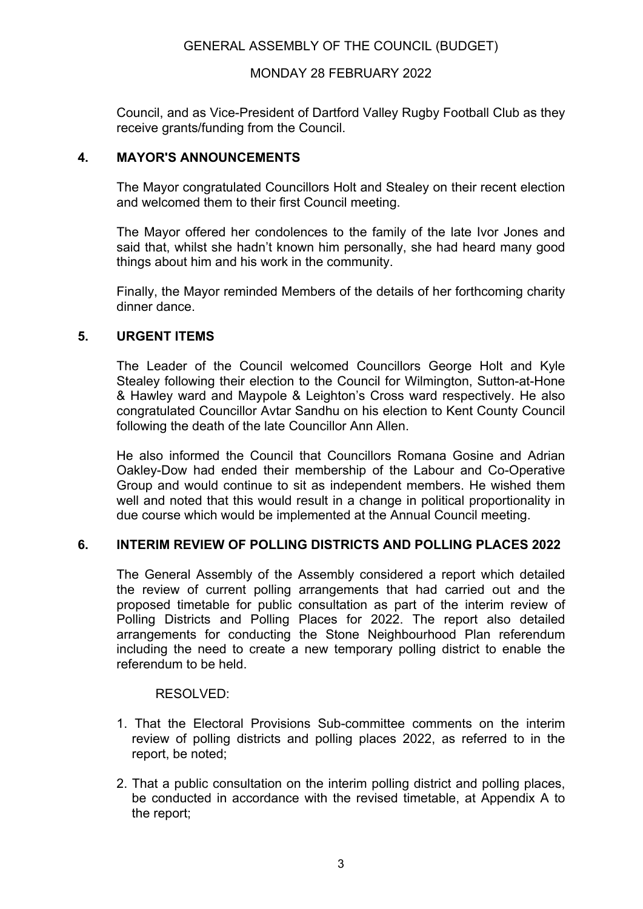#### MONDAY 28 FEBRUARY 2022

Council, and as Vice-President of Dartford Valley Rugby Football Club as they receive grants/funding from the Council.

### **4. MAYOR'S ANNOUNCEMENTS**

The Mayor congratulated Councillors Holt and Stealey on their recent election and welcomed them to their first Council meeting.

The Mayor offered her condolences to the family of the late Ivor Jones and said that, whilst she hadn't known him personally, she had heard many good things about him and his work in the community.

Finally, the Mayor reminded Members of the details of her forthcoming charity dinner dance.

#### **5. URGENT ITEMS**

The Leader of the Council welcomed Councillors George Holt and Kyle Stealey following their election to the Council for Wilmington, Sutton-at-Hone & Hawley ward and Maypole & Leighton's Cross ward respectively. He also congratulated Councillor Avtar Sandhu on his election to Kent County Council following the death of the late Councillor Ann Allen.

He also informed the Council that Councillors Romana Gosine and Adrian Oakley-Dow had ended their membership of the Labour and Co-Operative Group and would continue to sit as independent members. He wished them well and noted that this would result in a change in political proportionality in due course which would be implemented at the Annual Council meeting.

#### **6. INTERIM REVIEW OF POLLING DISTRICTS AND POLLING PLACES 2022**

The General Assembly of the Assembly considered a report which detailed the review of current polling arrangements that had carried out and the proposed timetable for public consultation as part of the interim review of Polling Districts and Polling Places for 2022. The report also detailed arrangements for conducting the Stone Neighbourhood Plan referendum including the need to create a new temporary polling district to enable the referendum to be held.

#### RESOLVED:

- 1. That the Electoral Provisions Sub-committee comments on the interim review of polling districts and polling places 2022, as referred to in the report, be noted;
- 2. That a public consultation on the interim polling district and polling places, be conducted in accordance with the revised timetable, at Appendix A to the report;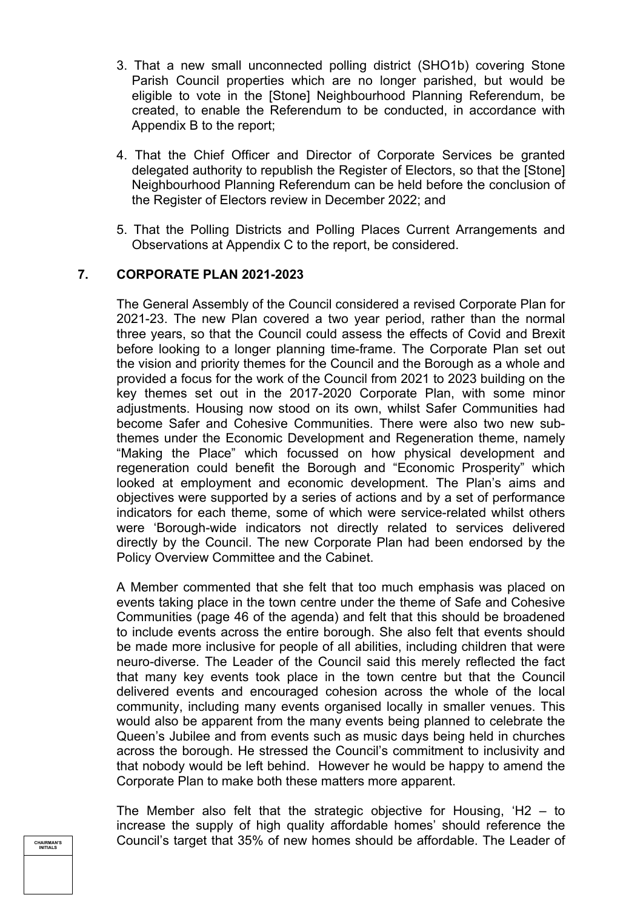- 3. That a new small unconnected polling district (SHO1b) covering Stone Parish Council properties which are no longer parished, but would be eligible to vote in the [Stone] Neighbourhood Planning Referendum, be created, to enable the Referendum to be conducted, in accordance with Appendix B to the report;
- 4. That the Chief Officer and Director of Corporate Services be granted delegated authority to republish the Register of Electors, so that the [Stone] Neighbourhood Planning Referendum can be held before the conclusion of the Register of Electors review in December 2022; and
- 5. That the Polling Districts and Polling Places Current Arrangements and Observations at Appendix C to the report, be considered.

#### **7. CORPORATE PLAN 2021-2023**

The General Assembly of the Council considered a revised Corporate Plan for 2021-23. The new Plan covered a two year period, rather than the normal three years, so that the Council could assess the effects of Covid and Brexit before looking to a longer planning time-frame. The Corporate Plan set out the vision and priority themes for the Council and the Borough as a whole and provided a focus for the work of the Council from 2021 to 2023 building on the key themes set out in the 2017-2020 Corporate Plan, with some minor adjustments. Housing now stood on its own, whilst Safer Communities had become Safer and Cohesive Communities. There were also two new subthemes under the Economic Development and Regeneration theme, namely "Making the Place" which focussed on how physical development and regeneration could benefit the Borough and "Economic Prosperity" which looked at employment and economic development. The Plan's aims and objectives were supported by a series of actions and by a set of performance indicators for each theme, some of which were service-related whilst others were 'Borough-wide indicators not directly related to services delivered directly by the Council. The new Corporate Plan had been endorsed by the Policy Overview Committee and the Cabinet.

A Member commented that she felt that too much emphasis was placed on events taking place in the town centre under the theme of Safe and Cohesive Communities (page 46 of the agenda) and felt that this should be broadened to include events across the entire borough. She also felt that events should be made more inclusive for people of all abilities, including children that were neuro-diverse. The Leader of the Council said this merely reflected the fact that many key events took place in the town centre but that the Council delivered events and encouraged cohesion across the whole of the local community, including many events organised locally in smaller venues. This would also be apparent from the many events being planned to celebrate the Queen's Jubilee and from events such as music days being held in churches across the borough. He stressed the Council's commitment to inclusivity and that nobody would be left behind. However he would be happy to amend the Corporate Plan to make both these matters more apparent.

The Member also felt that the strategic objective for Housing, 'H2 – to increase the supply of high quality affordable homes' should reference the Council's target that 35% of new homes should be affordable. The Leader of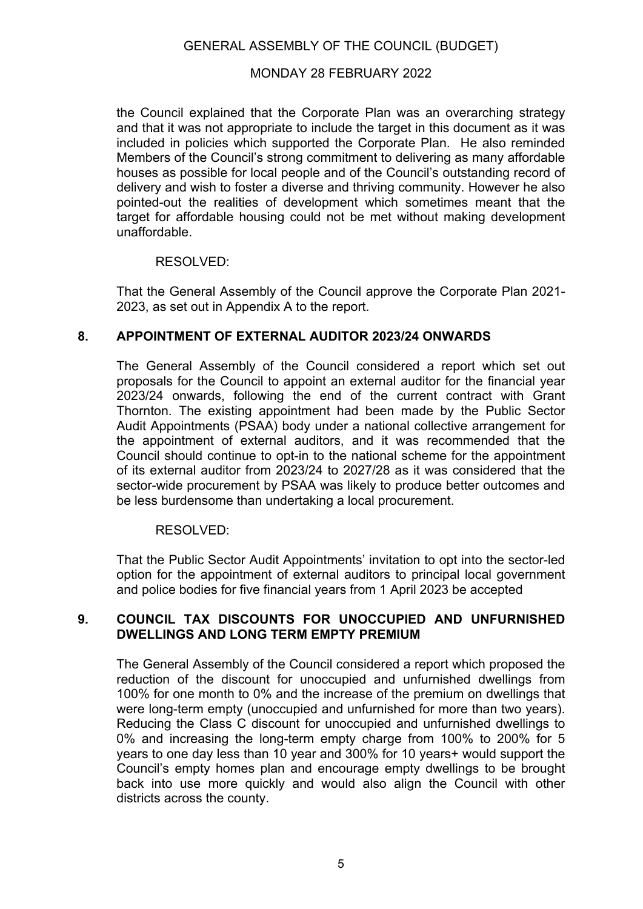#### MONDAY 28 FEBRUARY 2022

the Council explained that the Corporate Plan was an overarching strategy and that it was not appropriate to include the target in this document as it was included in policies which supported the Corporate Plan. He also reminded Members of the Council's strong commitment to delivering as many affordable houses as possible for local people and of the Council's outstanding record of delivery and wish to foster a diverse and thriving community. However he also pointed-out the realities of development which sometimes meant that the target for affordable housing could not be met without making development unaffordable.

#### RESOLVED:

That the General Assembly of the Council approve the Corporate Plan 2021- 2023, as set out in Appendix A to the report.

### **8. APPOINTMENT OF EXTERNAL AUDITOR 2023/24 ONWARDS**

The General Assembly of the Council considered a report which set out proposals for the Council to appoint an external auditor for the financial year 2023/24 onwards, following the end of the current contract with Grant Thornton. The existing appointment had been made by the Public Sector Audit Appointments (PSAA) body under a national collective arrangement for the appointment of external auditors, and it was recommended that the Council should continue to opt-in to the national scheme for the appointment of its external auditor from 2023/24 to 2027/28 as it was considered that the sector-wide procurement by PSAA was likely to produce better outcomes and be less burdensome than undertaking a local procurement.

#### RESOLVED:

That the Public Sector Audit Appointments' invitation to opt into the sector-led option for the appointment of external auditors to principal local government and police bodies for five financial years from 1 April 2023 be accepted

#### **9. COUNCIL TAX DISCOUNTS FOR UNOCCUPIED AND UNFURNISHED DWELLINGS AND LONG TERM EMPTY PREMIUM**

The General Assembly of the Council considered a report which proposed the reduction of the discount for unoccupied and unfurnished dwellings from 100% for one month to 0% and the increase of the premium on dwellings that were long-term empty (unoccupied and unfurnished for more than two years). Reducing the Class C discount for unoccupied and unfurnished dwellings to 0% and increasing the long-term empty charge from 100% to 200% for 5 years to one day less than 10 year and 300% for 10 years+ would support the Council's empty homes plan and encourage empty dwellings to be brought back into use more quickly and would also align the Council with other districts across the county.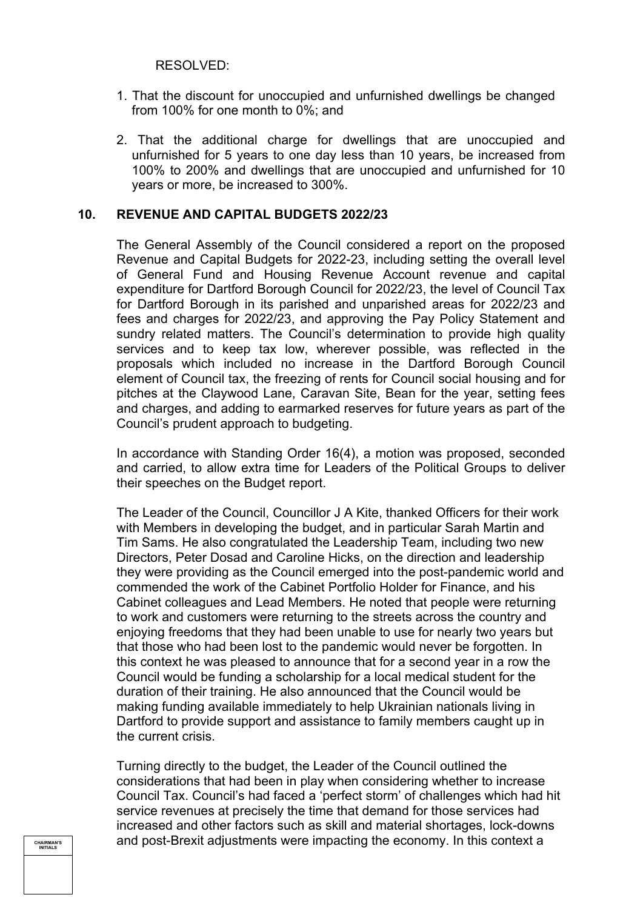RESOLVED:

- 1. That the discount for unoccupied and unfurnished dwellings be changed from 100% for one month to 0%; and
- 2. That the additional charge for dwellings that are unoccupied and unfurnished for 5 years to one day less than 10 years, be increased from 100% to 200% and dwellings that are unoccupied and unfurnished for 10 years or more, be increased to 300%.

#### **10. REVENUE AND CAPITAL BUDGETS 2022/23**

The General Assembly of the Council considered a report on the proposed Revenue and Capital Budgets for 2022-23, including setting the overall level of General Fund and Housing Revenue Account revenue and capital expenditure for Dartford Borough Council for 2022/23, the level of Council Tax for Dartford Borough in its parished and unparished areas for 2022/23 and fees and charges for 2022/23, and approving the Pay Policy Statement and sundry related matters. The Council's determination to provide high quality services and to keep tax low, wherever possible, was reflected in the proposals which included no increase in the Dartford Borough Council element of Council tax, the freezing of rents for Council social housing and for pitches at the Claywood Lane, Caravan Site, Bean for the year, setting fees and charges, and adding to earmarked reserves for future years as part of the Council's prudent approach to budgeting.

In accordance with Standing Order 16(4), a motion was proposed, seconded and carried, to allow extra time for Leaders of the Political Groups to deliver their speeches on the Budget report.

The Leader of the Council, Councillor J A Kite, thanked Officers for their work with Members in developing the budget, and in particular Sarah Martin and Tim Sams. He also congratulated the Leadership Team, including two new Directors, Peter Dosad and Caroline Hicks, on the direction and leadership they were providing as the Council emerged into the post-pandemic world and commended the work of the Cabinet Portfolio Holder for Finance, and his Cabinet colleagues and Lead Members. He noted that people were returning to work and customers were returning to the streets across the country and enjoying freedoms that they had been unable to use for nearly two years but that those who had been lost to the pandemic would never be forgotten. In this context he was pleased to announce that for a second year in a row the Council would be funding a scholarship for a local medical student for the duration of their training. He also announced that the Council would be making funding available immediately to help Ukrainian nationals living in Dartford to provide support and assistance to family members caught up in the current crisis.

Turning directly to the budget, the Leader of the Council outlined the considerations that had been in play when considering whether to increase Council Tax. Council's had faced a 'perfect storm' of challenges which had hit service revenues at precisely the time that demand for those services had increased and other factors such as skill and material shortages, lock-downs and post-Brexit adjustments were impacting the economy. In this context a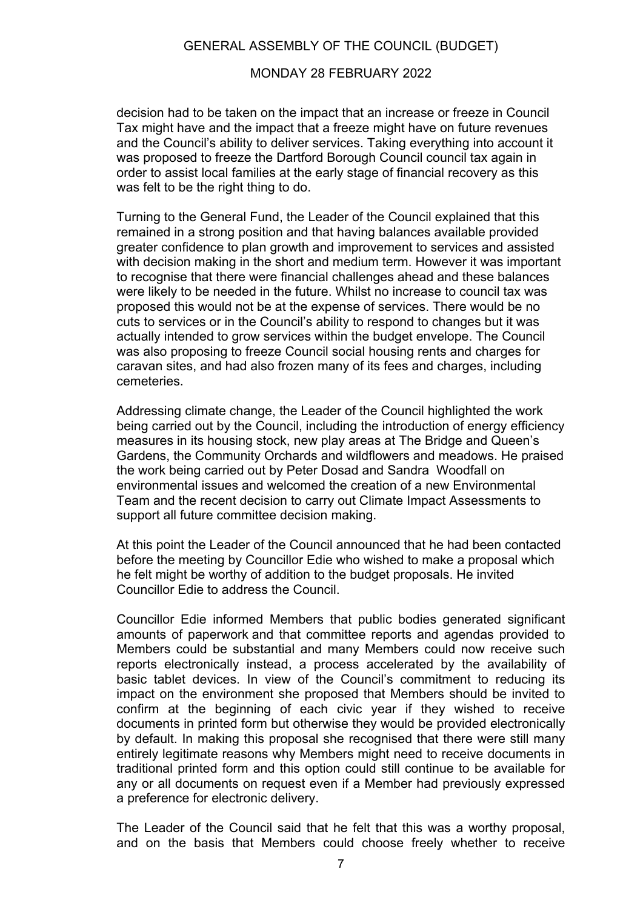#### MONDAY 28 FEBRUARY 2022

decision had to be taken on the impact that an increase or freeze in Council Tax might have and the impact that a freeze might have on future revenues and the Council's ability to deliver services. Taking everything into account it was proposed to freeze the Dartford Borough Council council tax again in order to assist local families at the early stage of financial recovery as this was felt to be the right thing to do.

Turning to the General Fund, the Leader of the Council explained that this remained in a strong position and that having balances available provided greater confidence to plan growth and improvement to services and assisted with decision making in the short and medium term. However it was important to recognise that there were financial challenges ahead and these balances were likely to be needed in the future. Whilst no increase to council tax was proposed this would not be at the expense of services. There would be no cuts to services or in the Council's ability to respond to changes but it was actually intended to grow services within the budget envelope. The Council was also proposing to freeze Council social housing rents and charges for caravan sites, and had also frozen many of its fees and charges, including cemeteries.

Addressing climate change, the Leader of the Council highlighted the work being carried out by the Council, including the introduction of energy efficiency measures in its housing stock, new play areas at The Bridge and Queen's Gardens, the Community Orchards and wildflowers and meadows. He praised the work being carried out by Peter Dosad and Sandra Woodfall on environmental issues and welcomed the creation of a new Environmental Team and the recent decision to carry out Climate Impact Assessments to support all future committee decision making.

At this point the Leader of the Council announced that he had been contacted before the meeting by Councillor Edie who wished to make a proposal which he felt might be worthy of addition to the budget proposals. He invited Councillor Edie to address the Council.

Councillor Edie informed Members that public bodies generated significant amounts of paperwork and that committee reports and agendas provided to Members could be substantial and many Members could now receive such reports electronically instead, a process accelerated by the availability of basic tablet devices. In view of the Council's commitment to reducing its impact on the environment she proposed that Members should be invited to confirm at the beginning of each civic year if they wished to receive documents in printed form but otherwise they would be provided electronically by default. In making this proposal she recognised that there were still many entirely legitimate reasons why Members might need to receive documents in traditional printed form and this option could still continue to be available for any or all documents on request even if a Member had previously expressed a preference for electronic delivery.

The Leader of the Council said that he felt that this was a worthy proposal, and on the basis that Members could choose freely whether to receive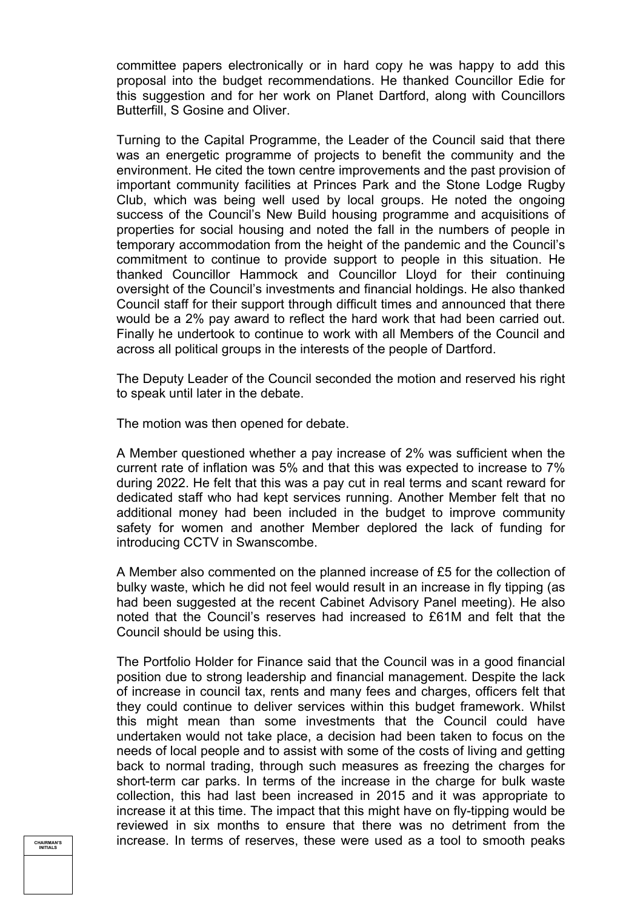committee papers electronically or in hard copy he was happy to add this proposal into the budget recommendations. He thanked Councillor Edie for this suggestion and for her work on Planet Dartford, along with Councillors Butterfill, S Gosine and Oliver.

Turning to the Capital Programme, the Leader of the Council said that there was an energetic programme of projects to benefit the community and the environment. He cited the town centre improvements and the past provision of important community facilities at Princes Park and the Stone Lodge Rugby Club, which was being well used by local groups. He noted the ongoing success of the Council's New Build housing programme and acquisitions of properties for social housing and noted the fall in the numbers of people in temporary accommodation from the height of the pandemic and the Council's commitment to continue to provide support to people in this situation. He thanked Councillor Hammock and Councillor Lloyd for their continuing oversight of the Council's investments and financial holdings. He also thanked Council staff for their support through difficult times and announced that there would be a 2% pay award to reflect the hard work that had been carried out. Finally he undertook to continue to work with all Members of the Council and across all political groups in the interests of the people of Dartford.

The Deputy Leader of the Council seconded the motion and reserved his right to speak until later in the debate.

The motion was then opened for debate.

A Member questioned whether a pay increase of 2% was sufficient when the current rate of inflation was 5% and that this was expected to increase to 7% during 2022. He felt that this was a pay cut in real terms and scant reward for dedicated staff who had kept services running. Another Member felt that no additional money had been included in the budget to improve community safety for women and another Member deplored the lack of funding for introducing CCTV in Swanscombe.

A Member also commented on the planned increase of £5 for the collection of bulky waste, which he did not feel would result in an increase in fly tipping (as had been suggested at the recent Cabinet Advisory Panel meeting). He also noted that the Council's reserves had increased to £61M and felt that the Council should be using this.

The Portfolio Holder for Finance said that the Council was in a good financial position due to strong leadership and financial management. Despite the lack of increase in council tax, rents and many fees and charges, officers felt that they could continue to deliver services within this budget framework. Whilst this might mean than some investments that the Council could have undertaken would not take place, a decision had been taken to focus on the needs of local people and to assist with some of the costs of living and getting back to normal trading, through such measures as freezing the charges for short-term car parks. In terms of the increase in the charge for bulk waste collection, this had last been increased in 2015 and it was appropriate to increase it at this time. The impact that this might have on fly-tipping would be reviewed in six months to ensure that there was no detriment from the increase. In terms of reserves, these were used as a tool to smooth peaks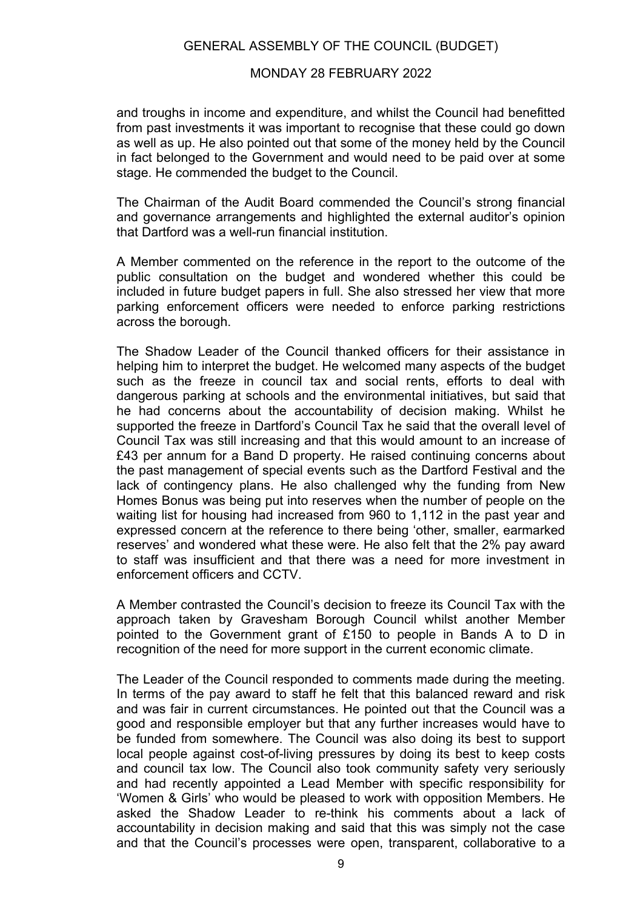#### MONDAY 28 FEBRUARY 2022

and troughs in income and expenditure, and whilst the Council had benefitted from past investments it was important to recognise that these could go down as well as up. He also pointed out that some of the money held by the Council in fact belonged to the Government and would need to be paid over at some stage. He commended the budget to the Council.

The Chairman of the Audit Board commended the Council's strong financial and governance arrangements and highlighted the external auditor's opinion that Dartford was a well-run financial institution.

A Member commented on the reference in the report to the outcome of the public consultation on the budget and wondered whether this could be included in future budget papers in full. She also stressed her view that more parking enforcement officers were needed to enforce parking restrictions across the borough.

The Shadow Leader of the Council thanked officers for their assistance in helping him to interpret the budget. He welcomed many aspects of the budget such as the freeze in council tax and social rents, efforts to deal with dangerous parking at schools and the environmental initiatives, but said that he had concerns about the accountability of decision making. Whilst he supported the freeze in Dartford's Council Tax he said that the overall level of Council Tax was still increasing and that this would amount to an increase of £43 per annum for a Band D property. He raised continuing concerns about the past management of special events such as the Dartford Festival and the lack of contingency plans. He also challenged why the funding from New Homes Bonus was being put into reserves when the number of people on the waiting list for housing had increased from 960 to 1,112 in the past year and expressed concern at the reference to there being 'other, smaller, earmarked reserves' and wondered what these were. He also felt that the 2% pay award to staff was insufficient and that there was a need for more investment in enforcement officers and CCTV.

A Member contrasted the Council's decision to freeze its Council Tax with the approach taken by Gravesham Borough Council whilst another Member pointed to the Government grant of £150 to people in Bands A to D in recognition of the need for more support in the current economic climate.

The Leader of the Council responded to comments made during the meeting. In terms of the pay award to staff he felt that this balanced reward and risk and was fair in current circumstances. He pointed out that the Council was a good and responsible employer but that any further increases would have to be funded from somewhere. The Council was also doing its best to support local people against cost-of-living pressures by doing its best to keep costs and council tax low. The Council also took community safety very seriously and had recently appointed a Lead Member with specific responsibility for 'Women & Girls' who would be pleased to work with opposition Members. He asked the Shadow Leader to re-think his comments about a lack of accountability in decision making and said that this was simply not the case and that the Council's processes were open, transparent, collaborative to a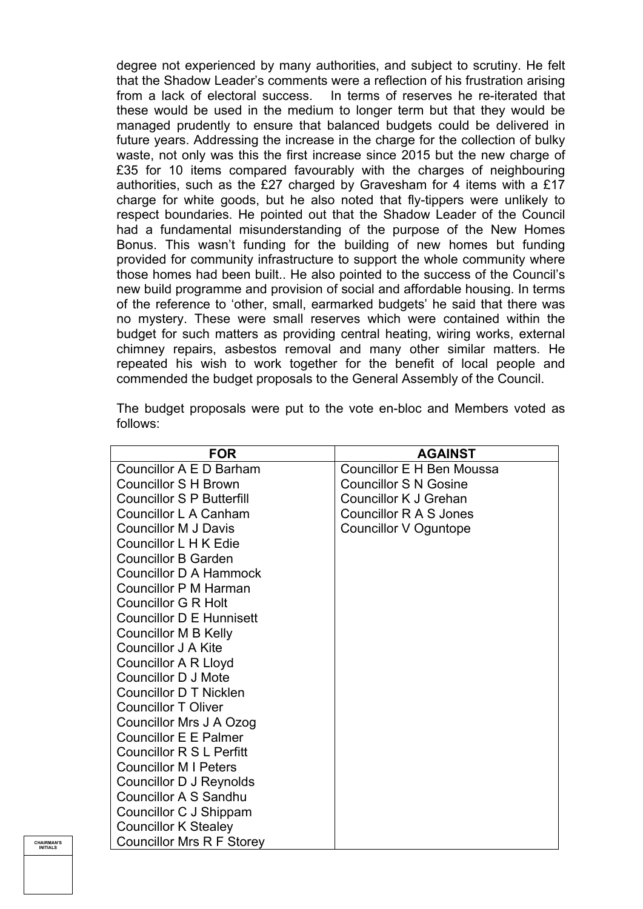degree not experienced by many authorities, and subject to scrutiny. He felt that the Shadow Leader's comments were a reflection of his frustration arising from a lack of electoral success. In terms of reserves he re-iterated that these would be used in the medium to longer term but that they would be managed prudently to ensure that balanced budgets could be delivered in future years. Addressing the increase in the charge for the collection of bulky waste, not only was this the first increase since 2015 but the new charge of £35 for 10 items compared favourably with the charges of neighbouring authorities, such as the £27 charged by Gravesham for 4 items with a £17 charge for white goods, but he also noted that fly-tippers were unlikely to respect boundaries. He pointed out that the Shadow Leader of the Council had a fundamental misunderstanding of the purpose of the New Homes Bonus. This wasn't funding for the building of new homes but funding provided for community infrastructure to support the whole community where those homes had been built.. He also pointed to the success of the Council's new build programme and provision of social and affordable housing. In terms of the reference to 'other, small, earmarked budgets' he said that there was no mystery. These were small reserves which were contained within the budget for such matters as providing central heating, wiring works, external chimney repairs, asbestos removal and many other similar matters. He repeated his wish to work together for the benefit of local people and commended the budget proposals to the General Assembly of the Council.

The budget proposals were put to the vote en-bloc and Members voted as follows:

| <b>FOR</b>                       | <b>AGAINST</b>               |
|----------------------------------|------------------------------|
| Councillor A E D Barham          | Councillor E H Ben Moussa    |
| <b>Councillor S H Brown</b>      | <b>Councillor S N Gosine</b> |
| <b>Councillor S P Butterfill</b> | Councillor K J Grehan        |
| Councillor L A Canham            | Councillor R A S Jones       |
| <b>Councillor M J Davis</b>      | Councillor V Oguntope        |
| Councillor L H K Edie            |                              |
| <b>Councillor B Garden</b>       |                              |
| <b>Councillor D A Hammock</b>    |                              |
| Councillor P M Harman            |                              |
| <b>Councillor G R Holt</b>       |                              |
| <b>Councillor D E Hunnisett</b>  |                              |
| <b>Councillor M B Kelly</b>      |                              |
| <b>Councillor J A Kite</b>       |                              |
| <b>Councillor A R Lloyd</b>      |                              |
| <b>Councillor D J Mote</b>       |                              |
| <b>Councillor D T Nicklen</b>    |                              |
| <b>Councillor T Oliver</b>       |                              |
| Councillor Mrs J A Ozog          |                              |
| <b>Councillor E E Palmer</b>     |                              |
| <b>Councillor R S L Perfitt</b>  |                              |
| <b>Councillor M I Peters</b>     |                              |
| Councillor D J Reynolds          |                              |
| <b>Councillor A S Sandhu</b>     |                              |
| Councillor C J Shippam           |                              |
| <b>Councillor K Stealey</b>      |                              |
| <b>Councillor Mrs R F Storey</b> |                              |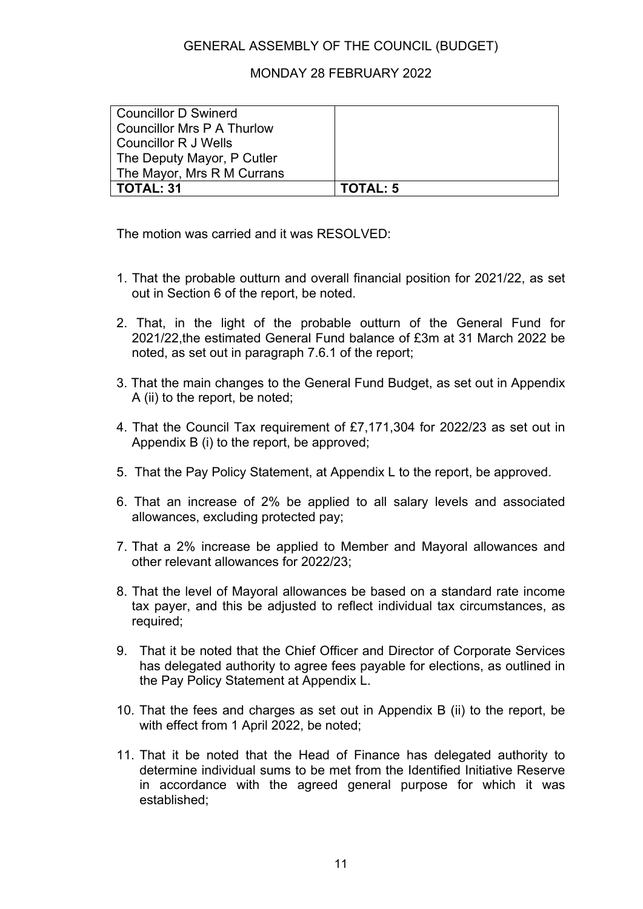## MONDAY 28 FEBRUARY 2022

| Councillor D Swinerd       |          |
|----------------------------|----------|
| Councillor Mrs P A Thurlow |          |
| Councillor R J Wells       |          |
| The Deputy Mayor, P Cutler |          |
| The Mayor, Mrs R M Currans |          |
| TOTAL: 31                  | TOTAL: 5 |

The motion was carried and it was RESOLVED:

- 1. That the probable outturn and overall financial position for 2021/22, as set out in Section 6 of the report, be noted.
- 2. That, in the light of the probable outturn of the General Fund for 2021/22,the estimated General Fund balance of £3m at 31 March 2022 be noted, as set out in paragraph 7.6.1 of the report;
- 3. That the main changes to the General Fund Budget, as set out in Appendix A (ii) to the report, be noted;
- 4. That the Council Tax requirement of £7,171,304 for 2022/23 as set out in Appendix B (i) to the report, be approved;
- 5. That the Pay Policy Statement, at Appendix L to the report, be approved.
- 6. That an increase of 2% be applied to all salary levels and associated allowances, excluding protected pay;
- 7. That a 2% increase be applied to Member and Mayoral allowances and other relevant allowances for 2022/23;
- 8. That the level of Mayoral allowances be based on a standard rate income tax payer, and this be adjusted to reflect individual tax circumstances, as required;
- 9. That it be noted that the Chief Officer and Director of Corporate Services has delegated authority to agree fees payable for elections, as outlined in the Pay Policy Statement at Appendix L.
- 10. That the fees and charges as set out in Appendix B (ii) to the report, be with effect from 1 April 2022, be noted;
- 11. That it be noted that the Head of Finance has delegated authority to determine individual sums to be met from the Identified Initiative Reserve in accordance with the agreed general purpose for which it was established;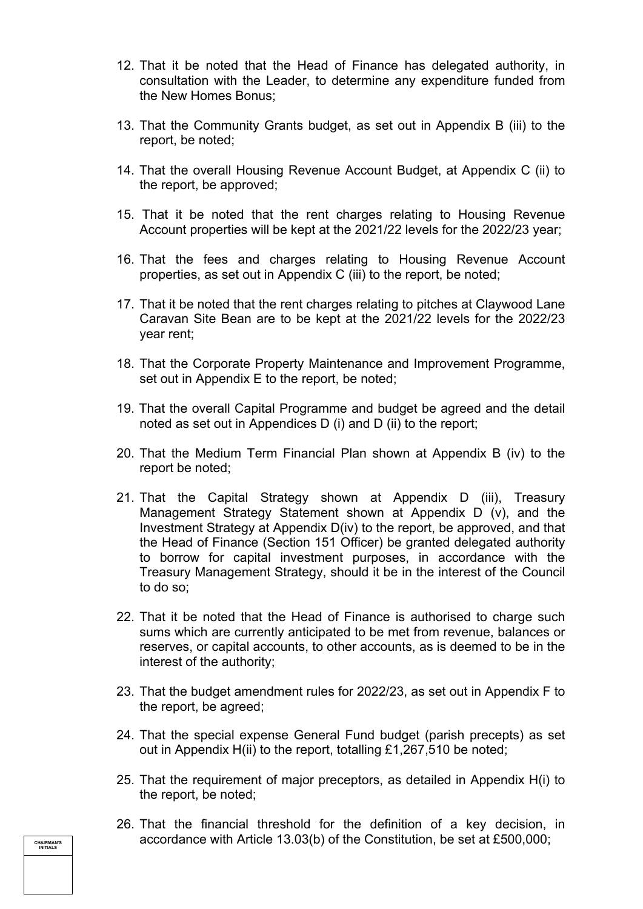- 12. That it be noted that the Head of Finance has delegated authority, in consultation with the Leader, to determine any expenditure funded from the New Homes Bonus;
- 13. That the Community Grants budget, as set out in Appendix B (iii) to the report, be noted;
- 14. That the overall Housing Revenue Account Budget, at Appendix C (ii) to the report, be approved;
- 15. That it be noted that the rent charges relating to Housing Revenue Account properties will be kept at the 2021/22 levels for the 2022/23 year;
- 16. That the fees and charges relating to Housing Revenue Account properties, as set out in Appendix C (iii) to the report, be noted;
- 17. That it be noted that the rent charges relating to pitches at Claywood Lane Caravan Site Bean are to be kept at the 2021/22 levels for the 2022/23 year rent;
- 18. That the Corporate Property Maintenance and Improvement Programme, set out in Appendix E to the report, be noted;
- 19. That the overall Capital Programme and budget be agreed and the detail noted as set out in Appendices D (i) and D (ii) to the report;
- 20. That the Medium Term Financial Plan shown at Appendix B (iv) to the report be noted;
- 21. That the Capital Strategy shown at Appendix D (iii), Treasury Management Strategy Statement shown at Appendix D (v), and the Investment Strategy at Appendix D(iv) to the report, be approved, and that the Head of Finance (Section 151 Officer) be granted delegated authority to borrow for capital investment purposes, in accordance with the Treasury Management Strategy, should it be in the interest of the Council to do so;
- 22. That it be noted that the Head of Finance is authorised to charge such sums which are currently anticipated to be met from revenue, balances or reserves, or capital accounts, to other accounts, as is deemed to be in the interest of the authority;
- 23. That the budget amendment rules for 2022/23, as set out in Appendix F to the report, be agreed;
- 24. That the special expense General Fund budget (parish precepts) as set out in Appendix H(ii) to the report, totalling £1,267,510 be noted;
- 25. That the requirement of major preceptors, as detailed in Appendix H(i) to the report, be noted;
- 26. That the financial threshold for the definition of a key decision, in accordance with Article 13.03(b) of the Constitution, be set at £500,000;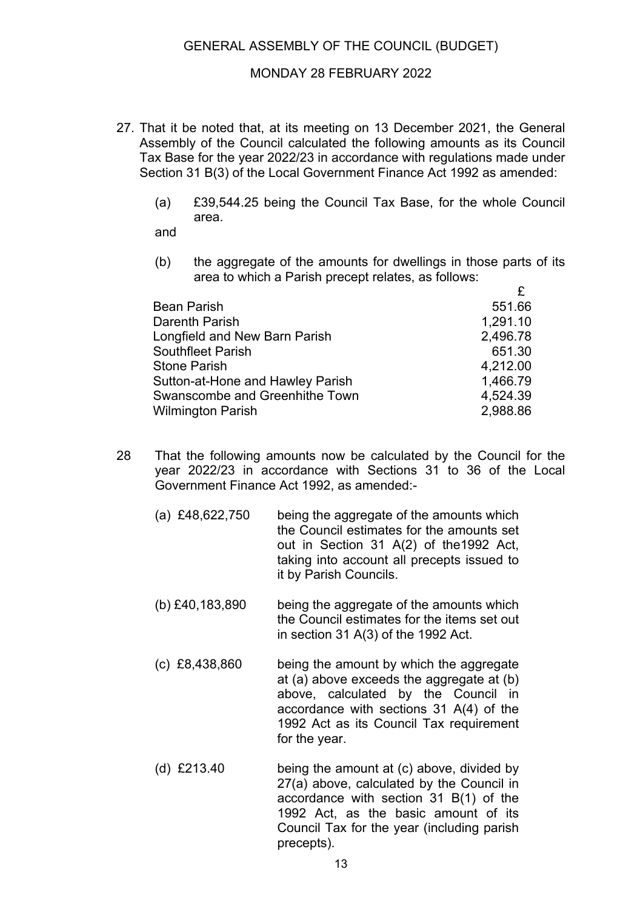#### MONDAY 28 FEBRUARY 2022

- 27. That it be noted that, at its meeting on 13 December 2021, the General Assembly of the Council calculated the following amounts as its Council Tax Base for the year 2022/23 in accordance with regulations made under Section 31 B(3) of the Local Government Finance Act 1992 as amended:
	- (a) £39,544.25 being the Council Tax Base, for the whole Council area.

and

(b) the aggregate of the amounts for dwellings in those parts of its area to which a Parish precept relates, as follows:

| <b>Bean Parish</b>               | 551.66   |
|----------------------------------|----------|
| Darenth Parish                   | 1,291.10 |
| Longfield and New Barn Parish    | 2,496.78 |
| <b>Southfleet Parish</b>         | 651.30   |
| <b>Stone Parish</b>              | 4,212.00 |
| Sutton-at-Hone and Hawley Parish | 1,466.79 |
| Swanscombe and Greenhithe Town   | 4,524.39 |
| <b>Wilmington Parish</b>         | 2,988.86 |

- 28 That the following amounts now be calculated by the Council for the year 2022/23 in accordance with Sections 31 to 36 of the Local Government Finance Act 1992, as amended:-
	- (a) £48,622,750 being the aggregate of the amounts which the Council estimates for the amounts set out in Section 31 A(2) of the1992 Act, taking into account all precepts issued to it by Parish Councils.
	- (b) £40,183,890 being the aggregate of the amounts which the Council estimates for the items set out in section 31 A(3) of the 1992 Act.
	- (c) £8,438,860 being the amount by which the aggregate at (a) above exceeds the aggregate at (b) above, calculated by the Council in accordance with sections 31 A(4) of the 1992 Act as its Council Tax requirement for the year.
	- (d) £213.40 being the amount at (c) above, divided by 27(a) above, calculated by the Council in accordance with section 31 B(1) of the 1992 Act, as the basic amount of its Council Tax for the year (including parish precepts).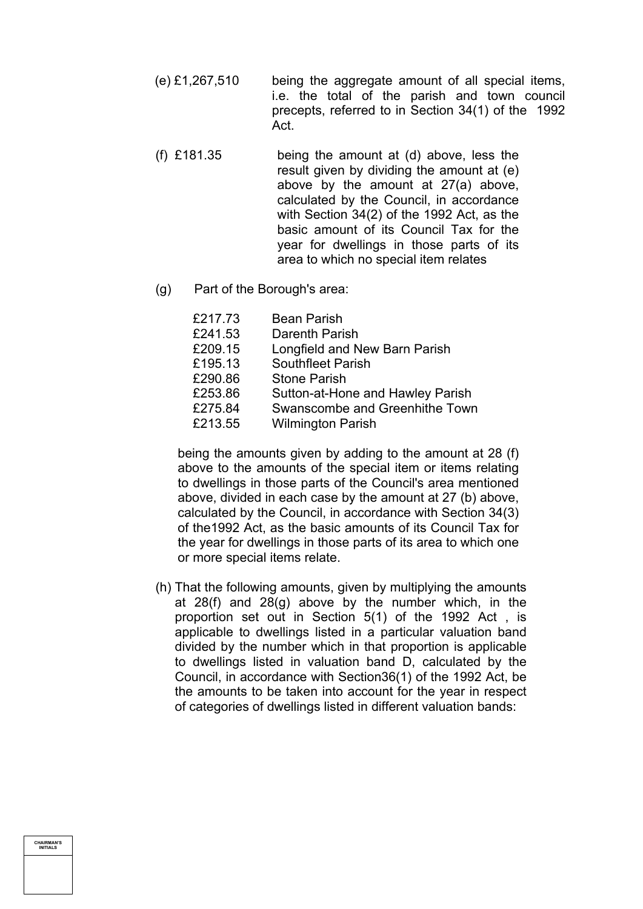- (e) £1,267,510 being the aggregate amount of all special items, i.e. the total of the parish and town council precepts, referred to in Section 34(1) of the 1992 Act.
- (f) £181.35 being the amount at (d) above, less the result given by dividing the amount at (e) above by the amount at 27(a) above, calculated by the Council, in accordance with Section 34(2) of the 1992 Act, as the basic amount of its Council Tax for the year for dwellings in those parts of its area to which no special item relates
- (g) Part of the Borough's area:

| £217.73<br>£241.53<br>£209.15 | <b>Bean Parish</b><br>Darenth Parish<br>Longfield and New Barn Parish |
|-------------------------------|-----------------------------------------------------------------------|
| £195.13                       | <b>Southfleet Parish</b>                                              |
| £290.86                       | <b>Stone Parish</b>                                                   |
| £253.86                       | Sutton-at-Hone and Hawley Parish                                      |
| £275.84                       | Swanscombe and Greenhithe Town                                        |
| £213.55                       | <b>Wilmington Parish</b>                                              |
|                               |                                                                       |

being the amounts given by adding to the amount at 28 (f) above to the amounts of the special item or items relating to dwellings in those parts of the Council's area mentioned above, divided in each case by the amount at 27 (b) above, calculated by the Council, in accordance with Section 34(3) of the1992 Act, as the basic amounts of its Council Tax for the year for dwellings in those parts of its area to which one or more special items relate.

(h) That the following amounts, given by multiplying the amounts at 28(f) and 28(g) above by the number which, in the proportion set out in Section 5(1) of the 1992 Act , is applicable to dwellings listed in a particular valuation band divided by the number which in that proportion is applicable to dwellings listed in valuation band D, calculated by the Council, in accordance with Section36(1) of the 1992 Act, be the amounts to be taken into account for the year in respect of categories of dwellings listed in different valuation bands: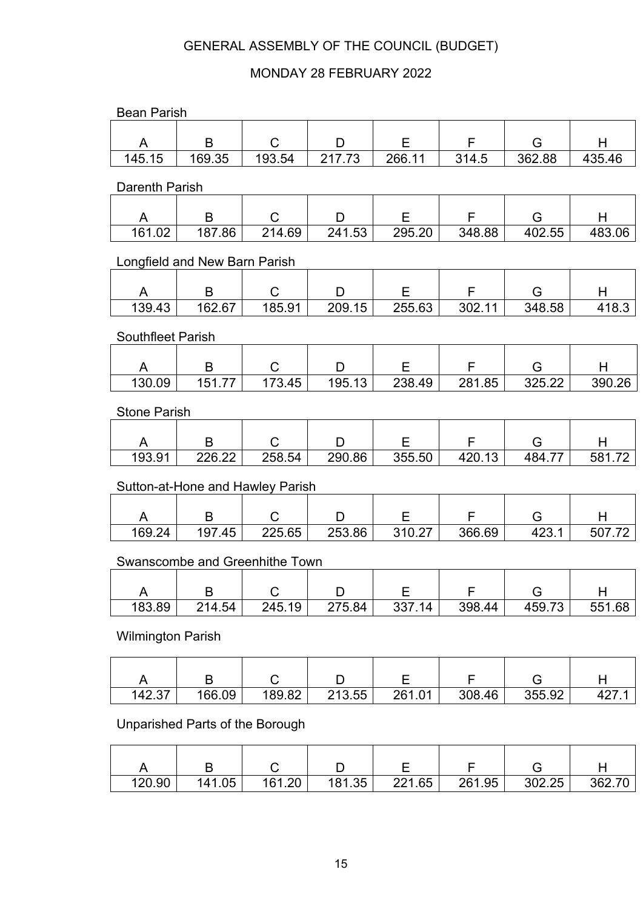# MONDAY 28 FEBRUARY 2022

| <b>Bean Parish</b>            |                                 |                                  |        |        |        |        |        |  |  |  |  |
|-------------------------------|---------------------------------|----------------------------------|--------|--------|--------|--------|--------|--|--|--|--|
| A                             | B                               | С                                | D      | Ε      | F      | G      | H      |  |  |  |  |
| 145.15                        | 169.35                          | 193.54                           | 217.73 | 266.11 | 314.5  | 362.88 | 435.46 |  |  |  |  |
|                               |                                 |                                  |        |        |        |        |        |  |  |  |  |
| <b>Darenth Parish</b>         |                                 |                                  |        |        |        |        |        |  |  |  |  |
| A                             | B                               | C                                | D      | E      | F      | G      | Н      |  |  |  |  |
| 161.02                        | 187.86                          | 214.69                           | 241.53 | 295.20 | 348.88 | 402.55 | 483.06 |  |  |  |  |
| Longfield and New Barn Parish |                                 |                                  |        |        |        |        |        |  |  |  |  |
| A                             | B                               | C                                | D      | Е      | F      | G      | Н      |  |  |  |  |
| 139.43                        | 162.67                          | 185.91                           | 209.15 | 255.63 | 302.11 | 348.58 | 418.3  |  |  |  |  |
| Southfleet Parish             |                                 |                                  |        |        |        |        |        |  |  |  |  |
| A                             | B                               | C                                | D      | E      | F      | G      | H      |  |  |  |  |
| 130.09                        | 151.77                          | 173.45                           | 195.13 | 238.49 | 281.85 | 325.22 | 390.26 |  |  |  |  |
|                               |                                 |                                  |        |        |        |        |        |  |  |  |  |
| <b>Stone Parish</b>           |                                 |                                  |        |        |        |        |        |  |  |  |  |
| A                             | B                               | C                                | D      | Е      | F      | G      | Н      |  |  |  |  |
| 193.91                        | 226.22                          | 258.54                           | 290.86 | 355.50 | 420.13 | 484.77 | 581.72 |  |  |  |  |
|                               |                                 | Sutton-at-Hone and Hawley Parish |        |        |        |        |        |  |  |  |  |
| A                             | B                               | С                                | D      | Ε      | F      | G      | Н      |  |  |  |  |
| 169.24                        | 197.45                          | 225.65                           | 253.86 | 310.27 | 366.69 | 423.1  | 507.72 |  |  |  |  |
|                               |                                 |                                  |        |        |        |        |        |  |  |  |  |
|                               |                                 | Swanscombe and Greenhithe Town   |        |        |        |        |        |  |  |  |  |
| A                             | B                               | C                                | D      | Е      | F      | G      | Η      |  |  |  |  |
| 183.89                        | 214.54                          | 245.19                           | 275.84 | 337.14 | 398.44 | 459.73 | 551.68 |  |  |  |  |
| <b>Wilmington Parish</b>      |                                 |                                  |        |        |        |        |        |  |  |  |  |
| A                             | B                               | С                                | D      | Е      | F      | G      | H      |  |  |  |  |
| 142.37                        | 166.09                          | 189.82                           | 213.55 | 261.01 | 308.46 | 355.92 | 427.1  |  |  |  |  |
|                               | Unparished Parts of the Borough |                                  |        |        |        |        |        |  |  |  |  |
| A                             | B                               | C                                | D      | Е      | F      | G      | H      |  |  |  |  |
| 120.90                        | 141.05                          | 161.20                           | 181.35 | 221.65 | 261.95 | 302.25 | 362.70 |  |  |  |  |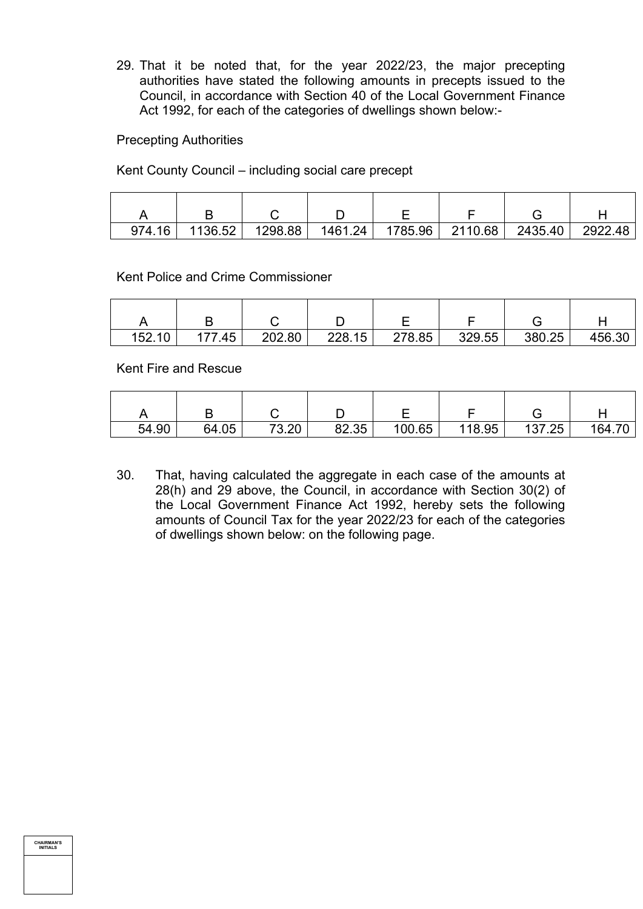29. That it be noted that, for the year 2022/23, the major precepting authorities have stated the following amounts in precepts issued to the Council, in accordance with Section 40 of the Local Government Finance Act 1992, for each of the categories of dwellings shown below:-

Precepting Authorities

Kent County Council – including social care precept

| 974.16 | 1136.52 | 1298.88 | 1461.24 | 1785.96 | 2110.68 | 2435.40 | 2922.48 |
|--------|---------|---------|---------|---------|---------|---------|---------|

Kent Police and Crime Commissioner

| 152.10 | .45 | 202.80 | 228.15 | 278.85 | 329.55 | 380.25 | 456.30 |
|--------|-----|--------|--------|--------|--------|--------|--------|

Kent Fire and Rescue

| 54.90 | 64.05 | חר כד<br>∪.∠∪ | 82.35 | 100.65 | 118.95 | 137.25 | 164.70 |
|-------|-------|---------------|-------|--------|--------|--------|--------|

30. That, having calculated the aggregate in each case of the amounts at 28(h) and 29 above, the Council, in accordance with Section 30(2) of the Local Government Finance Act 1992, hereby sets the following amounts of Council Tax for the year 2022/23 for each of the categories of dwellings shown below: on the following page.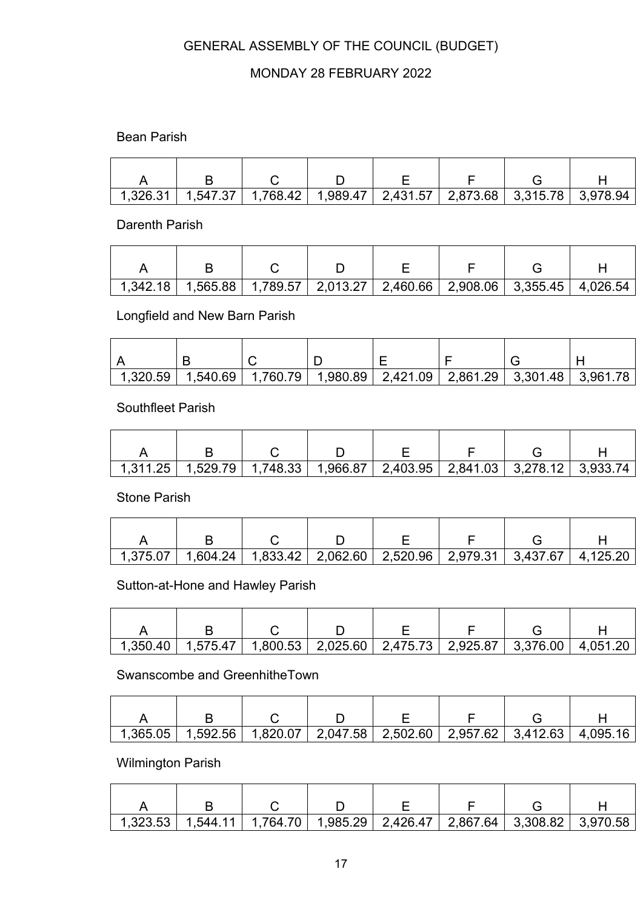# MONDAY 28 FEBRUARY 2022

## Bean Parish

| 1,326.31 |  | 1,547.37   1,768.42   1,989.47   2,431.57   2,873.68   3,315.78   3,978.94 |  |  |
|----------|--|----------------------------------------------------------------------------|--|--|

### Darenth Parish

|  |  | $1,342.18$   $1,565.88$   $1,789.57$   $2,013.27$   $2,460.66$   $2,908.06$   $3,355.45$   $4,026.54$ |  |  |
|--|--|-------------------------------------------------------------------------------------------------------|--|--|

# Longfield and New Barn Parish

| 1,320.59 | $\mid$ 1,540.69 $\mid$ 1,760.79 $\mid$ | $\mid$ 1,980.89 $\mid$ 2,421.09 $\mid$ 2,861.29 $\mid$ 3,301.48 $\mid$ 3,961.78 |  |  |
|----------|----------------------------------------|---------------------------------------------------------------------------------|--|--|

### Southfleet Parish

|  | 1,311.25   1,529.79   1,748.33   1,966.87   2,403.95   2,841.03   3,278.12   3,933.74 |  |  |  |
|--|---------------------------------------------------------------------------------------|--|--|--|

#### Stone Parish

|  |  | $1,375.07$   $1,604.24$   $1,833.42$   $2,062.60$   $2,520.96$   $2,979.31$   $3,437.67$   $4,125.20$ |  |  |
|--|--|-------------------------------------------------------------------------------------------------------|--|--|

## Sutton-at-Hone and Hawley Parish

|  |  | $1,350.40$   $1,575.47$   $1,800.53$   $2,025.60$   $2,475.73$   $2,925.87$   $3,376.00$   $4,051.20$ |  |  |
|--|--|-------------------------------------------------------------------------------------------------------|--|--|

# Swanscombe and GreenhitheTown

| _1,365.05   1,592.56   1,820.07   2,047.58   2,502.60   2,957.62   3,412.63   4,095.16 |  |  |  |
|----------------------------------------------------------------------------------------|--|--|--|

## Wilmington Parish

|  |  | 1,323.53   1,544.11   1,764.70   1,985.29   2,426.47   2,867.64   3,308.82   3,970.58 |  |  |
|--|--|---------------------------------------------------------------------------------------|--|--|